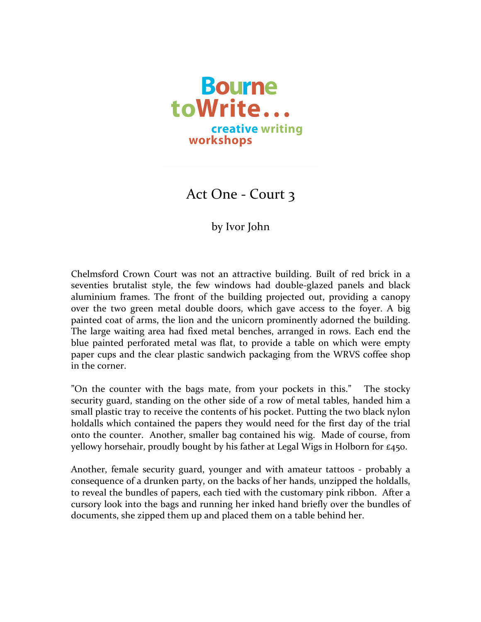

Act One - Court 3

by Ivor John

Chelmsford Crown Court was not an attractive building. Built of red brick in a seventies brutalist style, the few windows had double-glazed panels and black aluminium frames. The front of the building projected out, providing a canopy over the two green metal double doors, which gave access to the foyer. A big painted coat of arms, the lion and the unicorn prominently adorned the building. The large waiting area had fixed metal benches, arranged in rows. Each end the blue painted perforated metal was flat, to provide a table on which were empty paper cups and the clear plastic sandwich packaging from the WRVS coffee shop in the corner.

"On the counter with the bags mate, from your pockets in this." The stocky security guard, standing on the other side of a row of metal tables, handed him a small plastic tray to receive the contents of his pocket. Putting the two black nylon holdalls which contained the papers they would need for the first day of the trial onto the counter. Another, smaller bag contained his wig. Made of course, from yellowy horsehair, proudly bought by his father at Legal Wigs in Holborn for  $\epsilon$ 450.

Another, female security guard, younger and with amateur tattoos - probably a consequence of a drunken party, on the backs of her hands, unzipped the holdalls, to reveal the bundles of papers, each tied with the customary pink ribbon. After a cursory look into the bags and running her inked hand briefly over the bundles of documents, she zipped them up and placed them on a table behind her.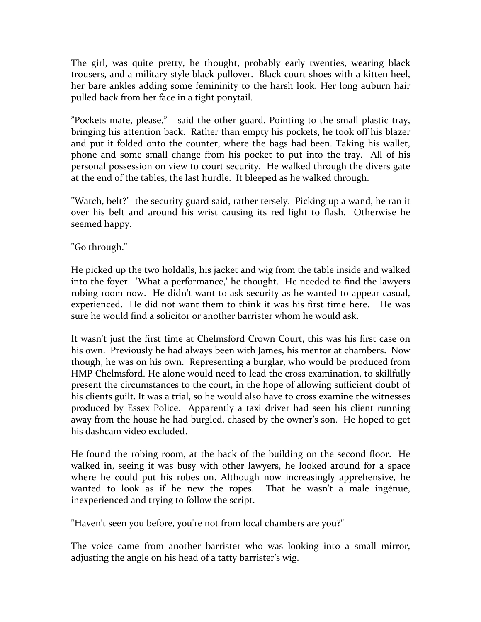The girl, was quite pretty, he thought, probably early twenties, wearing black trousers, and a military style black pullover. Black court shoes with a kitten heel, her bare ankles adding some femininity to the harsh look. Her long auburn hair pulled back from her face in a tight ponytail.

"Pockets mate, please," said the other guard. Pointing to the small plastic tray, bringing his attention back. Rather than empty his pockets, he took off his blazer and put it folded onto the counter, where the bags had been. Taking his wallet, phone and some small change from his pocket to put into the tray. All of his personal possession on view to court security. He walked through the divers gate at the end of the tables, the last hurdle. It bleeped as he walked through.

"Watch, belt?" the security guard said, rather tersely. Picking up a wand, he ran it over his belt and around his wrist causing its red light to flash. Otherwise he seemed happy.

"Go through."

He picked up the two holdalls, his jacket and wig from the table inside and walked into the foyer. 'What a performance,' he thought. He needed to find the lawyers robing room now. He didn't want to ask security as he wanted to appear casual, experienced. He did not want them to think it was his first time here. He was sure he would find a solicitor or another barrister whom he would ask.

It wasn't just the first time at Chelmsford Crown Court, this was his first case on his own. Previously he had always been with James, his mentor at chambers. Now though, he was on his own. Representing a burglar, who would be produced from HMP Chelmsford. He alone would need to lead the cross examination, to skillfully present the circumstances to the court, in the hope of allowing sufficient doubt of his clients guilt. It was a trial, so he would also have to cross examine the witnesses produced by Essex Police. Apparently a taxi driver had seen his client running away from the house he had burgled, chased by the owner's son. He hoped to get his dashcam video excluded

He found the robing room, at the back of the building on the second floor. He walked in, seeing it was busy with other lawyers, he looked around for a space where he could put his robes on. Although now increasingly apprehensive, he wanted to look as if he new the ropes. That he wasn't a male ingenue, inexperienced and trying to follow the script.

"Haven't seen you before, you're not from local chambers are you?"

The voice came from another barrister who was looking into a small mirror, adjusting the angle on his head of a tatty barrister's wig.